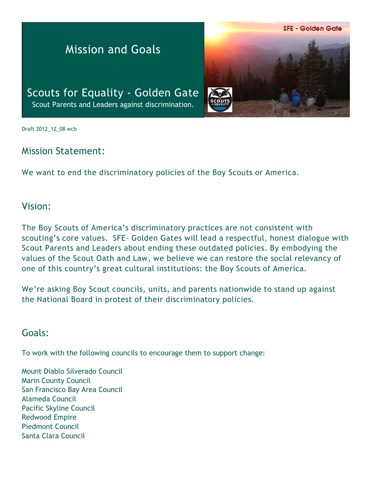#### **SFE - Golden Gate**

# Mission and Goals

Scouts for Equality - Golden Gate Scout Parents and Leaders against discrimination.



Draft 2012\_12\_08 wcb

## Mission Statement:

We want to end the discriminatory policies of the Boy Scouts or America.

#### Vision:

The Boy Scouts of America's discriminatory practices are not consistent with scouting's core values. SFE- Golden Gates will lead a respectful, honest dialogue with Scout Parents and Leaders about ending these outdated policies. By embodying the values of the Scout Oath and Law, we believe we can restore the social relevancy of one of this country's great cultural institutions: the Boy Scouts of America.

We're asking Boy Scout councils, units, and parents nationwide to stand up against the National Board in protest of their discriminatory policies.

## Goals:

To work with the following councils to encourage them to support change:

Mount Diablo Silverado Council Marin County Council San Francisco Bay Area Council Alameda Council Pacific Skyline Council Redwood Empire Piedmont Council Santa Clara Council